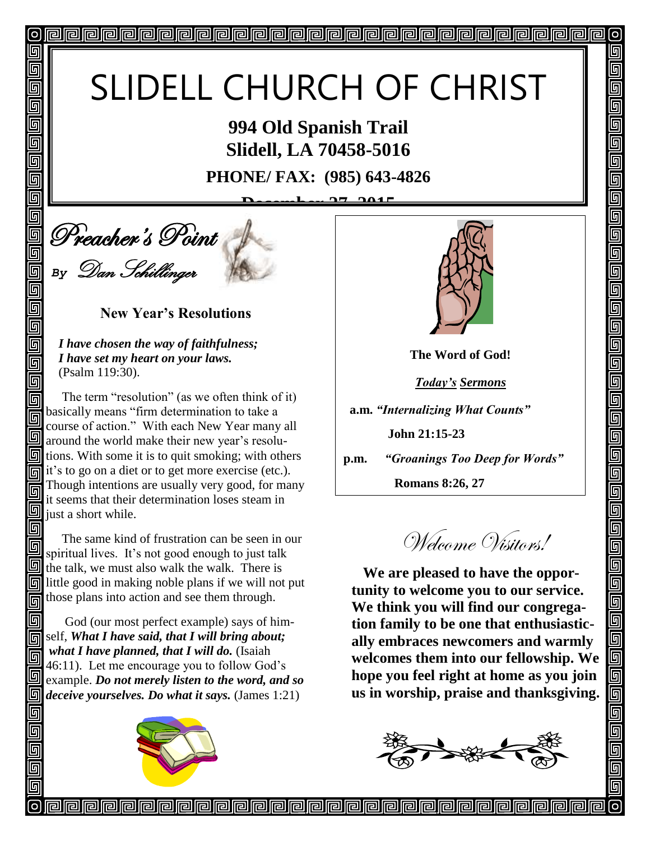# SLIDELL CHURCH OF CHRIST

**994 Old Spanish Trail Slidell, LA 70458-5016**

**PHONE/ FAX: (985) 643-4826**

**DECAMBER** 



回

回 回 靣 回 6 回 回 回

 $\overline{\mathbb{G}}$ 

回 回 回 同 5

同

同

回

6

### **New Year's Resolutions**

 *I have chosen the way of faithfulness; I have set my heart on your laws.* (Psalm 119:30).

 The term "resolution" (as we often think of it) basically means "firm determination to take a 同 course of action." With each New Year many all around the world make their new year's resolu- $\boxed{9}$  tions. With some it is to quit smoking; with others for it's to go on a diet or to get more exercise (etc.). Though intentions are usually very good, for many it seems that their determination loses steam in 同 just a short while.

同 The same kind of frustration can be seen in our 圆 spiritual lives. It's not good enough to just talk  $\mathbb{I}$  the talk, we must also walk the walk. There is little good in making noble plans if we will not put those plans into action and see them through.

回 God (our most perfect example) says of himself, *What I have said, that I will bring about; what I have planned, that I will do.* (Isaiah 同 46:11). Let me encourage you to follow God's 回 example. *Do not merely listen to the word, and so deceive yourselves. Do what it says.* (James 1:21)





 $\circ$ 

回

5

<u>ๆ</u> 回 可

回

回

0

00<br>00

 $\blacksquare$ 

 $\overline{\mathbb{D}}$ 画

9

o di

5

5

**The Word of God!**

*Today's Sermons*

 **a.m.** *"Internalizing What Counts"*  **John 21:15-23**

**p.m.** *"Groanings Too Deep for Words"*

**Romans 8:26, 27**

Welcome Visitors!

**We are pleased to have the opportunity to welcome you to our service. We think you will find our congregation family to be one that enthusiastically embraces newcomers and warmly welcomes them into our fellowship. We hope you feel right at home as you join us in worship, praise and thanksgiving.**



<u> PPPPPPPPPPPPPPPPPPPPPPPPPPPPPPP</u>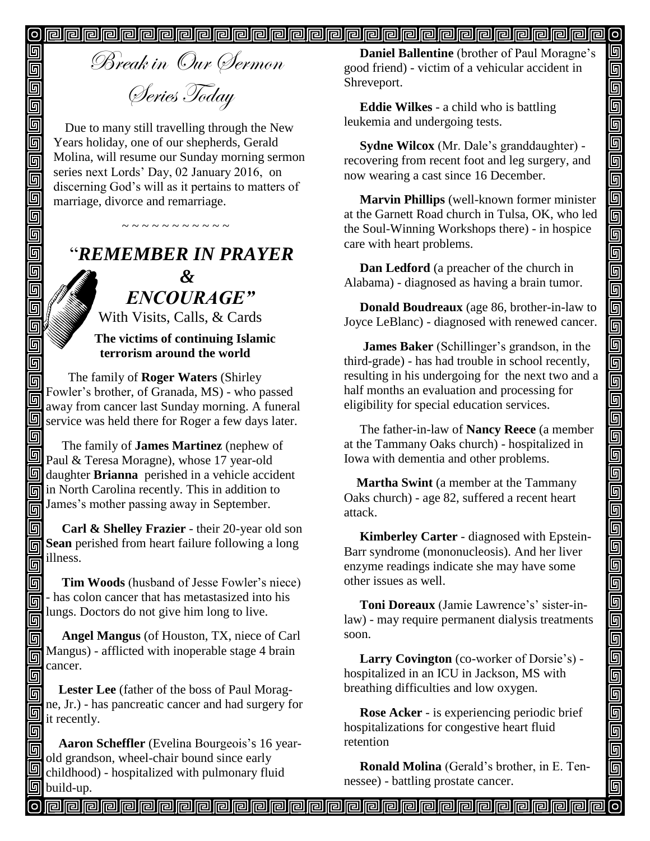Break in Our Sermon Series Today

回

 $\overline{\mathbb{F}}$ 

 $\overline{\overline{\mathbb{G}}}$ 

回

回 Ō 靣

回 回  $\blacksquare$ 回  $\blacksquare$  $\overline{\mathbb{G}}$  $\overline{\mathbb{F}}$ 回

回

回

回 同 同

同 同 回

同

Due to many still travelling through the New Years holiday, one of our shepherds, Gerald Molina, will resume our Sunday morning sermon series next Lords' Day, 02 January 2016, on discerning God's will as it pertains to matters of marriage, divorce and remarriage.

~ ~ ~ ~ ~ ~ ~ ~ ~ ~

## "*REMEMBER IN PRAYER &* " *ENCOURAGE"* With Visits, Calls, & Cards **The victims of continuing Islamic terrorism around the world**

The family of **Roger Waters** (Shirley 同 Fowler's brother, of Granada, MS) - who passed 同 away from cancer last Sunday morning. A funeral service was held there for Roger a few days later.

回 The family of **James Martinez** (nephew of Paul & Teresa Moragne), whose 17 year-old daughter **Brianna** perished in a vehicle accident **同** in North Carolina recently. This in addition to James's mother passing away in September. 同

回  **Carl & Shelley Frazier** - their 20-year old son **Sean** perished from heart failure following a long 同 illness. 同

 **Tim Woods** (husband of Jesse Fowler's niece) - has colon cancer that has metastasized into his 回 lungs. Doctors do not give him long to live.

 **Angel Mangus** (of Houston, TX, niece of Carl Mangus) - afflicted with inoperable stage 4 brain cancer.

 **Lester Lee** (father of the boss of Paul Moragne, Jr.) - has pancreatic cancer and had surgery for it recently.

 **Aaron Scheffler** (Evelina Bourgeois's 16 year-同 old grandson, wheel-chair bound since early childhood) - hospitalized with pulmonary fluid **h**build-up.

 **Daniel Ballentine** (brother of Paul Moragne's good friend) - victim of a vehicular accident in Shreveport.

 **Eddie Wilkes** - a child who is battling leukemia and undergoing tests.

 **Sydne Wilcox** (Mr. Dale's granddaughter) recovering from recent foot and leg surgery, and now wearing a cast since 16 December.

 **Marvin Phillips** (well-known former minister at the Garnett Road church in Tulsa, OK, who led the Soul-Winning Workshops there) - in hospice care with heart problems.

 **Dan Ledford** (a preacher of the church in Alabama) - diagnosed as having a brain tumor.

 **Donald Boudreaux** (age 86, brother-in-law to Joyce LeBlanc) - diagnosed with renewed cancer.

 **James Baker** (Schillinger's grandson, in the third-grade) - has had trouble in school recently, resulting in his undergoing for the next two and a half months an evaluation and processing for eligibility for special education services.

 The father-in-law of **Nancy Reece** (a member at the Tammany Oaks church) - hospitalized in Iowa with dementia and other problems.

 **Martha Swint** (a member at the Tammany Oaks church) - age 82, suffered a recent heart attack.

 **Kimberley Carter** - diagnosed with Epstein-Barr syndrome (mononucleosis). And her liver enzyme readings indicate she may have some other issues as well.

 **Toni Doreaux** (Jamie Lawrence's' sister-inlaw) - may require permanent dialysis treatments soon.

 **Larry Covington** (co-worker of Dorsie's) hospitalized in an ICU in Jackson, MS with breathing difficulties and low oxygen.

 **Rose Acker** - is experiencing periodic brief hospitalizations for congestive heart fluid retention

 **Ronald Molina** (Gerald's brother, in E. Tennessee) - battling prostate cancer.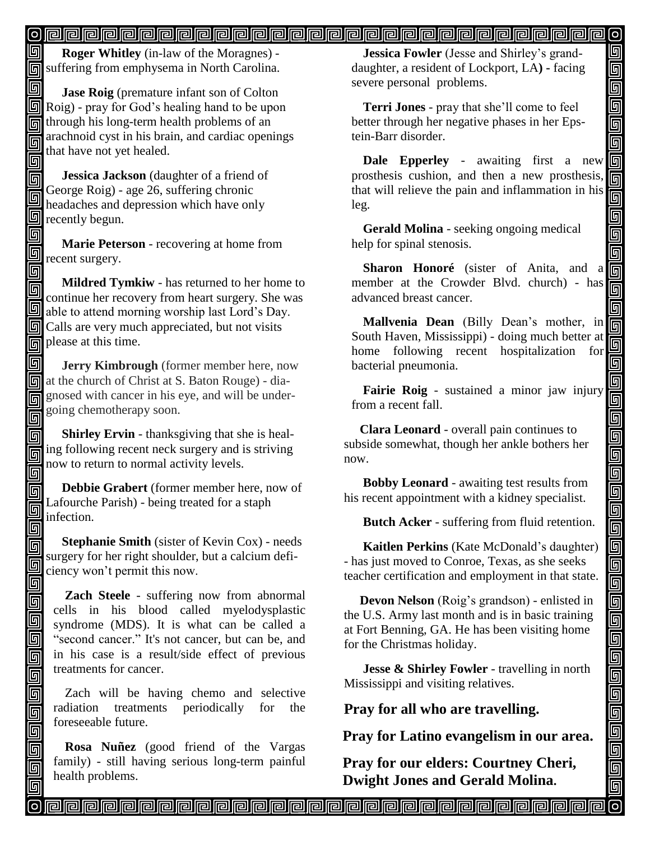#### $\lbrack \circ \rbrack$

 **Roger Whitley** (in-law of the Moragnes) - 回 suffering from emphysema in North Carolina.

回 **Jase Roig** (premature infant son of Colton Roig) - pray for God's healing hand to be upon  $\overline{\text{m}}$  through his long-term health problems of an arachnoid cyst in his brain, and cardiac openings 靣 that have not yet healed. 回

 **Jessica Jackson** (daughter of a friend of 同 George Roig) - age 26, suffering chronic headaches and depression which have only  $\mathbf{F}$  recently begun. 回

 **Marie Peterson** - recovering at home from **n** recent surgery.

回 **Mildred Tymkiw** - has returned to her home to 回 continue her recovery from heart surgery. She was able to attend morning worship last Lord's Day. **Example 2** Calls are very much appreciated, but not visits  $\sqrt{\frac{1}{2}}$  please at this time.

同  **Jerry Kimbrough** (former member here, now at the church of Christ at S. Baton Rouge) - diagnosed with cancer in his eye, and will be under-同 going chemotherapy soon. 同 Î

 **Shirley Ervin** - thanksgiving that she is healing following recent neck surgery and is striving now to return to normal activity levels.

同 回

回 同 回 回 同 回 回 回 回 回 同 靣 回 靣 回

同 回

回

 **Debbie Grabert** (former member here, now of Lafourche Parish) - being treated for a staph infection.

 **Stephanie Smith** (sister of Kevin Cox) - needs surgery for her right shoulder, but a calcium deficiency won't permit this now.

**Zach Steele** - suffering now from abnormal cells in his blood called myelodysplastic syndrome (MDS). It is what can be called a "second cancer." It's not cancer, but can be, and in his case is a result/side effect of previous treatments for cancer.

Zach will be having chemo and selective radiation treatments periodically for the foreseeable future.

**Rosa Nuñez** (good friend of the Vargas family) - still having serious long-term painful health problems.

**Jessica Fowler** (Jesse and Shirley's granddaughter, a resident of Lockport, LA**) -** facing severe personal problems.

回

回 画

画 同

d<br>90

g<br>ga

<u>ieir</u>

ualai

 $\overline{\mathbb{D}}$ 靣

da<br>Di

elelele

واواواواواواواواواواواواواوا

900

回

**Terri Jones** - pray that she'll come to feel better through her negative phases in her Epstein-Barr disorder.

**Dale Epperley** - awaiting first a new prosthesis cushion, and then a new prosthesis, that will relieve the pain and inflammation in his leg.

**Gerald Molina** - seeking ongoing medical help for spinal stenosis.

**Sharon Honoré** (sister of Anita, and a member at the Crowder Blvd. church) - has advanced breast cancer.

**Mallvenia Dean** (Billy Dean's mother, in South Haven, Mississippi) - doing much better at home following recent hospitalization for bacterial pneumonia.

**Fairie Roig** - sustained a minor jaw injury from a recent fall.

 **Clara Leonard** - overall pain continues to subside somewhat, though her ankle bothers her now.

 **Bobby Leonard** - awaiting test results from his recent appointment with a kidney specialist.

 **Butch Acker** - suffering from fluid retention.

 **Kaitlen Perkins** (Kate McDonald's daughter) - has just moved to Conroe, Texas, as she seeks teacher certification and employment in that state.

 **Devon Nelson** (Roig's grandson) - enlisted in the U.S. Army last month and is in basic training at Fort Benning, GA. He has been visiting home for the Christmas holiday.

**Jesse & Shirley Fowler** - travelling in north Mississippi and visiting relatives.

**Pray for all who are travelling.**

**Pray for Latino evangelism in our area.**

**Pray for our elders: Courtney Cheri, Dwight Jones and Gerald Molina.**

<u>papapapapapapapapapapapapapapapa</u>